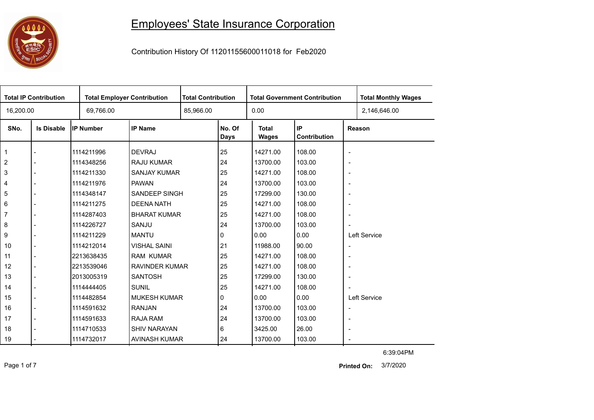## 

## Employees' State Insurance Corporation

Contribution History Of 11201155600011018 for Feb2020

| <b>Total IP Contribution</b> |                   |                  | <b>Total Employer Contribution</b> |  | <b>Total Contribution</b><br><b>Total Government Contribution</b> |                              |                    |                          | <b>Total Monthly Wages</b> |
|------------------------------|-------------------|------------------|------------------------------------|--|-------------------------------------------------------------------|------------------------------|--------------------|--------------------------|----------------------------|
| 16,200.00                    |                   | 69,766.00        |                                    |  | 0.00<br>85,966.00                                                 |                              |                    |                          | 2,146,646.00               |
| SNo.                         | <b>Is Disable</b> | <b>IP Number</b> | <b>IP Name</b>                     |  | No. Of<br><b>Days</b>                                             | <b>Total</b><br><b>Wages</b> | IP<br>Contribution |                          | Reason                     |
| $\overline{1}$               |                   | 1114211996       | <b>DEVRAJ</b>                      |  | 25                                                                | 14271.00                     | 108.00             | $\overline{\phantom{a}}$ |                            |
| $\overline{2}$               |                   | 1114348256       | <b>RAJU KUMAR</b>                  |  | 24                                                                | 13700.00                     | 103.00             | $\overline{\phantom{a}}$ |                            |
| $\mathbf{3}$                 |                   | 1114211330       | <b>SANJAY KUMAR</b>                |  | 25                                                                | 14271.00                     | 108.00             | $\overline{\phantom{a}}$ |                            |
| $\overline{4}$               |                   | 1114211976       | <b>PAWAN</b>                       |  | 24                                                                | 13700.00                     | 103.00             | $\overline{\phantom{a}}$ |                            |
| 5                            |                   | 1114348147       | <b>SANDEEP SINGH</b>               |  | 25                                                                | 17299.00                     | 130.00             | $\overline{\phantom{a}}$ |                            |
| $\,6\,$                      |                   | 1114211275       | <b>DEENA NATH</b>                  |  | 25                                                                | 14271.00                     | 108.00             | $\overline{\phantom{a}}$ |                            |
| $\overline{7}$               |                   | 1114287403       | <b>BHARAT KUMAR</b>                |  | 25                                                                | 14271.00                     | 108.00             | $\blacksquare$           |                            |
| 8                            |                   | 1114226727       | SANJU                              |  | 24                                                                | 13700.00                     | 103.00             | $\overline{\phantom{a}}$ |                            |
| 9                            |                   | 1114211229       | <b>MANTU</b>                       |  | 0                                                                 | 0.00                         | 0.00               |                          | Left Service               |
| 10                           |                   | 1114212014       | <b>VISHAL SAINI</b>                |  | 21                                                                | 11988.00                     | 90.00              | $\overline{\phantom{a}}$ |                            |
| 11                           |                   | 2213638435       | <b>RAM KUMAR</b>                   |  | 25                                                                | 14271.00                     | 108.00             | $\overline{\phantom{a}}$ |                            |
| 12                           |                   | 2213539046       | <b>RAVINDER KUMAR</b>              |  | 25                                                                | 14271.00                     | 108.00             | $\overline{\phantom{a}}$ |                            |
| 13                           |                   | 2013005319       | <b>SANTOSH</b>                     |  | 25                                                                | 17299.00                     | 130.00             | $\overline{\phantom{a}}$ |                            |
| 14                           |                   | 1114444405       | <b>SUNIL</b>                       |  | 25                                                                | 14271.00                     | 108.00             | $\overline{\phantom{a}}$ |                            |
| 15                           |                   | 1114482854       | <b>MUKESH KUMAR</b>                |  | 0                                                                 | 0.00                         | 0.00               |                          | Left Service               |
| 16                           |                   | 1114591632       | <b>RANJAN</b>                      |  | 24                                                                | 13700.00                     | 103.00             | $\overline{\phantom{a}}$ |                            |
| 17                           |                   | 1114591633       | RAJA RAM                           |  | 24                                                                | 13700.00                     | 103.00             | $\overline{\phantom{a}}$ |                            |
| 18                           |                   | 1114710533       | <b>SHIV NARAYAN</b>                |  | 6                                                                 | 3425.00                      | 26.00              | $\overline{\phantom{a}}$ |                            |
| 19                           |                   | 1114732017       | AVINASH KUMAR                      |  | 24                                                                | 13700.00                     | 103.00             | $\blacksquare$           |                            |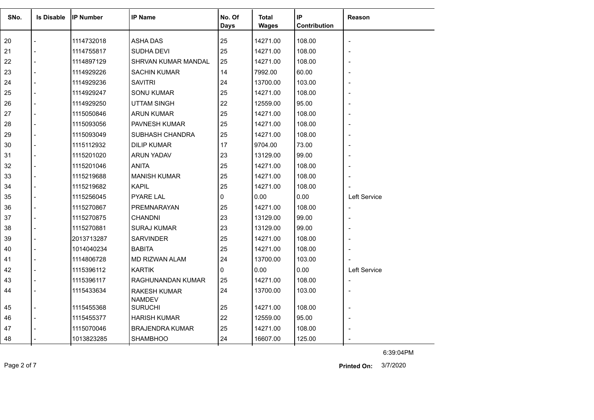| SNo. | <b>Is Disable</b> | <b>IP Number</b> | <b>IP Name</b>                  | No. Of      | <b>Total</b> | IP           | <b>Reason</b>            |
|------|-------------------|------------------|---------------------------------|-------------|--------------|--------------|--------------------------|
|      |                   |                  |                                 | <b>Days</b> | <b>Wages</b> | Contribution |                          |
| 20   |                   | 1114732018       | <b>ASHA DAS</b>                 | 25          | 14271.00     | 108.00       | $\overline{\phantom{a}}$ |
| 21   |                   | 1114755817       | SUDHA DEVI                      | 25          | 14271.00     | 108.00       |                          |
| 22   |                   | 1114897129       | <b>SHRVAN KUMAR MANDAL</b>      | 25          | 14271.00     | 108.00       |                          |
| 23   |                   | 1114929226       | <b>SACHIN KUMAR</b>             | 14          | 7992.00      | 60.00        |                          |
| 24   |                   | 1114929236       | <b>SAVITRI</b>                  | 24          | 13700.00     | 103.00       |                          |
| 25   |                   | 1114929247       | <b>SONU KUMAR</b>               | 25          | 14271.00     | 108.00       |                          |
| 26   |                   | 1114929250       | <b>UTTAM SINGH</b>              | 22          | 12559.00     | 95.00        |                          |
| 27   |                   | 1115050846       | ARUN KUMAR                      | 25          | 14271.00     | 108.00       | ÷,                       |
| 28   |                   | 1115093056       | PAVNESH KUMAR                   | 25          | 14271.00     | 108.00       |                          |
| 29   |                   | 1115093049       | SUBHASH CHANDRA                 | 25          | 14271.00     | 108.00       |                          |
| 30   |                   | 1115112932       | <b>DILIP KUMAR</b>              | 17          | 9704.00      | 73.00        |                          |
| 31   |                   | 1115201020       | <b>ARUN YADAV</b>               | 23          | 13129.00     | 99.00        |                          |
| 32   |                   | 1115201046       | <b>ANITA</b>                    | 25          | 14271.00     | 108.00       |                          |
| 33   |                   | 1115219688       | <b>MANISH KUMAR</b>             | 25          | 14271.00     | 108.00       |                          |
| 34   |                   | 1115219682       | <b>KAPIL</b>                    | 25          | 14271.00     | 108.00       |                          |
| 35   |                   | 1115256045       | <b>PYARE LAL</b>                | 0           | 0.00         | 0.00         | Left Service             |
| 36   |                   | 1115270867       | PREMNARAYAN                     | 25          | 14271.00     | 108.00       | $\overline{\phantom{a}}$ |
| 37   |                   | 1115270875       | <b>CHANDNI</b>                  | 23          | 13129.00     | 99.00        |                          |
| 38   |                   | 1115270881       | <b>SURAJ KUMAR</b>              | 23          | 13129.00     | 99.00        |                          |
| 39   |                   | 2013713287       | <b>SARVINDER</b>                | 25          | 14271.00     | 108.00       |                          |
| 40   |                   | 1014040234       | <b>BABITA</b>                   | 25          | 14271.00     | 108.00       |                          |
| 41   |                   | 1114806728       | <b>MD RIZWAN ALAM</b>           | 24          | 13700.00     | 103.00       |                          |
| 42   |                   | 1115396112       | <b>KARTIK</b>                   | 0           | 0.00         | 0.00         | <b>Left Service</b>      |
| 43   |                   | 1115396117       | RAGHUNANDAN KUMAR               | 25          | 14271.00     | 108.00       | $\overline{\phantom{a}}$ |
| 44   |                   | 1115433634       | <b>RAKESH KUMAR</b>             | 24          | 13700.00     | 103.00       |                          |
| 45   |                   | 1115455368       | <b>NAMDEV</b><br><b>SURUCHI</b> | 25          | 14271.00     | 108.00       | $\overline{\phantom{m}}$ |
| 46   |                   | 1115455377       | <b>HARISH KUMAR</b>             | 22          | 12559.00     | 95.00        |                          |
| 47   |                   | 1115070046       | <b>BRAJENDRA KUMAR</b>          | 25          | 14271.00     | 108.00       |                          |
| 48   |                   | 1013823285       | <b>SHAMBHOO</b>                 | 24          | 16607.00     | 125.00       |                          |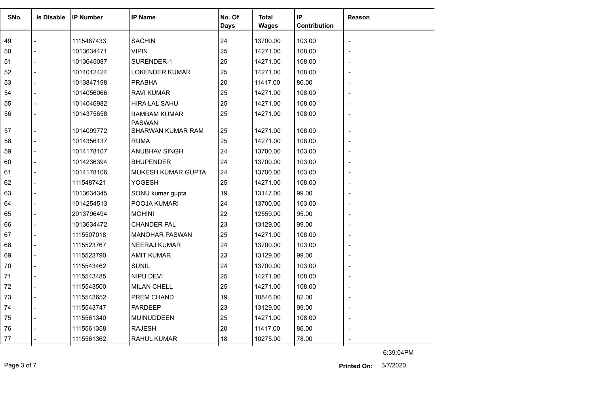| SNo. | <b>Is Disable</b> | <b>IIP Number</b> | <b>IP Name</b>                       | No. Of      | <b>Total</b> | IP           | <b>Reason</b> |
|------|-------------------|-------------------|--------------------------------------|-------------|--------------|--------------|---------------|
|      |                   |                   |                                      | <b>Days</b> | <b>Wages</b> | Contribution |               |
| 49   |                   | 1115487433        | <b>SACHIN</b>                        | 24          | 13700.00     | 103.00       |               |
| 50   |                   | 1013634471        | <b>VIPIN</b>                         | 25          | 14271.00     | 108.00       |               |
| 51   |                   | 1013645087        | SURENDER-1                           | 25          | 14271.00     | 108.00       |               |
| 52   |                   | 1014012424        | <b>LOKENDER KUMAR</b>                | 25          | 14271.00     | 108.00       |               |
| 53   |                   | 1013847198        | <b>PRABHA</b>                        | 20          | 11417.00     | 86.00        |               |
| 54   |                   | 1014056066        | <b>RAVI KUMAR</b>                    | 25          | 14271.00     | 108.00       |               |
| 55   |                   | 1014046982        | <b>HIRA LAL SAHU</b>                 | 25          | 14271.00     | 108.00       |               |
| 56   |                   | 1014375658        | <b>BAMBAM KUMAR</b><br><b>PASWAN</b> | 25          | 14271.00     | 108.00       |               |
| 57   |                   | 1014099772        | SHARWAN KUMAR RAM                    | 25          | 14271.00     | 108.00       |               |
| 58   |                   | 1014356137        | <b>RUMA</b>                          | 25          | 14271.00     | 108.00       |               |
| 59   |                   | 1014178107        | ANUBHAV SINGH                        | 24          | 13700.00     | 103.00       |               |
| 60   |                   | 1014236394        | <b>BHUPENDER</b>                     | 24          | 13700.00     | 103.00       |               |
| 61   |                   | 1014178106        | MUKESH KUMAR GUPTA                   | 24          | 13700.00     | 103.00       |               |
| 62   |                   | 1115487421        | YOGESH                               | 25          | 14271.00     | 108.00       |               |
| 63   |                   | 1013634345        | SONU kumar gupta                     | 19          | 13147.00     | 99.00        |               |
| 64   |                   | 1014254513        | POOJA KUMARI                         | 24          | 13700.00     | 103.00       |               |
| 65   |                   | 2013796494        | <b>MOHINI</b>                        | 22          | 12559.00     | 95.00        |               |
| 66   |                   | 1013634472        | <b>CHANDER PAL</b>                   | 23          | 13129.00     | 99.00        |               |
| 67   |                   | 1115507018        | <b>MANOHAR PASWAN</b>                | 25          | 14271.00     | 108.00       |               |
| 68   |                   | 1115523767        | <b>NEERAJ KUMAR</b>                  | 24          | 13700.00     | 103.00       |               |
| 69   |                   | 1115523790        | <b>AMIT KUMAR</b>                    | 23          | 13129.00     | 99.00        |               |
| 70   |                   | 1115543462        | <b>SUNIL</b>                         | 24          | 13700.00     | 103.00       |               |
| 71   |                   | 1115543485        | NIPU DEVI                            | 25          | 14271.00     | 108.00       |               |
| 72   |                   | 1115543500        | <b>MILAN CHELL</b>                   | 25          | 14271.00     | 108.00       |               |
| 73   |                   | 1115543652        | <b>PREM CHAND</b>                    | 19          | 10846.00     | 82.00        |               |
| 74   |                   | 1115543747        | <b>PARDEEP</b>                       | 23          | 13129.00     | 99.00        |               |
| 75   |                   | 1115561340        | MUINUDDEEN                           | 25          | 14271.00     | 108.00       |               |
| 76   |                   | 1115561358        | <b>RAJESH</b>                        | 20          | 11417.00     | 86.00        |               |
| 77   |                   | 1115561362        | <b>RAHUL KUMAR</b>                   | 18          | 10275.00     | 78.00        |               |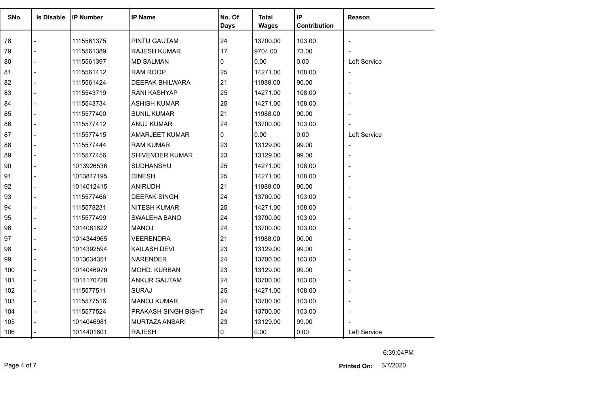| SNo.<br><b>Is Disable</b> |  | <b>IP Number</b> | <b>IP Name</b>         | No. Of<br><b>Total</b> |              | IP           | Reason       |  |
|---------------------------|--|------------------|------------------------|------------------------|--------------|--------------|--------------|--|
|                           |  |                  |                        | <b>Days</b>            | <b>Wages</b> | Contribution |              |  |
|                           |  |                  |                        |                        |              |              |              |  |
| 78                        |  | 1115561375       | PINTU GAUTAM           | 24                     | 13700.00     | 103.00       |              |  |
| 79                        |  | 1115561389       | <b>RAJESH KUMAR</b>    | 17                     | 9704.00      | 73.00        |              |  |
| 80                        |  | 1115561397       | <b>MD SALMAN</b>       | 0                      | 0.00         | 0.00         | Left Service |  |
| 81                        |  | 1115561412       | RAM ROOP               | 25                     | 14271.00     | 108.00       |              |  |
| 82                        |  | 1115561424       | <b>DEEPAK BHILWARA</b> | 21                     | 11988.00     | 90.00        |              |  |
| 83                        |  | 1115543719       | <b>RANI KASHYAP</b>    | 25                     | 14271.00     | 108.00       |              |  |
| 84                        |  | 1115543734       | <b>ASHISH KUMAR</b>    | 25                     | 14271.00     | 108.00       |              |  |
| 85                        |  | 1115577400       | <b>SUNIL KUMAR</b>     | 21                     | 11988.00     | 90.00        |              |  |
| 86                        |  | 1115577412       | ANUJ KUMAR             | 24                     | 13700.00     | 103.00       |              |  |
| 87                        |  | 1115577415       | <b>AMARJEET KUMAR</b>  | 0                      | 0.00         | 0.00         | Left Service |  |
| 88                        |  | 1115577444       | <b>RAM KUMAR</b>       | 23                     | 13129.00     | 99.00        |              |  |
| 89                        |  | 1115577456       | SHIVENDER KUMAR        | 23                     | 13129.00     | 99.00        |              |  |
| 90                        |  | 1013926536       | SUDHANSHU              | 25                     | 14271.00     | 108.00       |              |  |
| 91                        |  | 1013847195       | <b>DINESH</b>          | 25                     | 14271.00     | 108.00       |              |  |
| 92                        |  | 1014012415       | <b>ANIRUDH</b>         | 21                     | 11988.00     | 90.00        |              |  |
| 93                        |  | 1115577466       | <b>DEEPAK SINGH</b>    | 24                     | 13700.00     | 103.00       |              |  |
| 94                        |  | 1115578231       | <b>NITESH KUMAR</b>    | 25                     | 14271.00     | 108.00       |              |  |
| 95                        |  | 1115577499       | SWALEHA BANO           | 24                     | 13700.00     | 103.00       |              |  |
| 96                        |  | 1014081622       | <b>MANOJ</b>           | 24                     | 13700.00     | 103.00       |              |  |
| 97                        |  | 1014344965       | <b>VEERENDRA</b>       | 21                     | 11988.00     | 90.00        |              |  |
| 98                        |  | 1014392594       | <b>KAILASH DEVI</b>    | 23                     | 13129.00     | 99.00        |              |  |
| 99                        |  | 1013634351       | <b>NARENDER</b>        | 24                     | 13700.00     | 103.00       |              |  |
| 100                       |  | 1014046979       | MOHD. KURBAN           | 23                     | 13129.00     | 99.00        |              |  |
| 101                       |  | 1014170728       | <b>ANKUR GAUTAM</b>    | 24                     | 13700.00     | 103.00       |              |  |
| 102                       |  | 1115577511       | <b>SURAJ</b>           | 25                     | 14271.00     | 108.00       |              |  |
| 103                       |  | 1115577516       | <b>MANOJ KUMAR</b>     | 24                     | 13700.00     | 103.00       |              |  |
| 104                       |  | 1115577524       | PRAKASH SINGH BISHT    | 24                     | 13700.00     | 103.00       |              |  |
| 105                       |  | 1014046981       | MURTAZA ANSARI         | 23                     | 13129.00     | 99.00        |              |  |
| 106                       |  | 1014401601       | <b>RAJESH</b>          | 0                      | 0.00         | 0.00         | Left Service |  |

Page 4 of 7 3/7/2020 **Printed On:**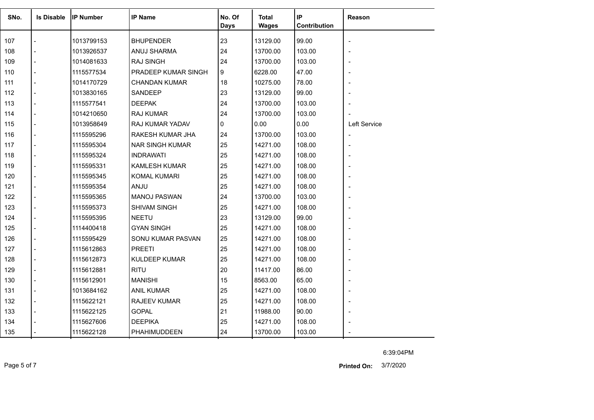| SNo. | <b>Is Disable</b> | <b>IP Number</b> | <b>IP Name</b>         | No. Of<br><b>Days</b> | <b>Total</b><br><b>Wages</b> | IP<br>Contribution | Reason       |
|------|-------------------|------------------|------------------------|-----------------------|------------------------------|--------------------|--------------|
|      |                   |                  |                        |                       |                              |                    |              |
| 107  |                   | 1013799153       | <b>BHUPENDER</b>       | 23                    | 13129.00                     | 99.00              |              |
| 108  |                   | 1013926537       | ANUJ SHARMA            | 24                    | 13700.00                     | 103.00             |              |
| 109  |                   | 1014081633       | <b>RAJ SINGH</b>       | 24                    | 13700.00                     | 103.00             |              |
| 110  |                   | 1115577534       | PRADEEP KUMAR SINGH    | 9                     | 6228.00                      | 47.00              |              |
| 111  |                   | 1014170729       | <b>CHANDAN KUMAR</b>   | 18                    | 10275.00                     | 78.00              |              |
| 112  |                   | 1013830165       | SANDEEP                | 23                    | 13129.00                     | 99.00              |              |
| 113  |                   | 1115577541       | <b>DEEPAK</b>          | 24                    | 13700.00                     | 103.00             |              |
| 114  |                   | 1014210650       | RAJ KUMAR              | 24                    | 13700.00                     | 103.00             |              |
| 115  |                   | 1013958649       | <b>RAJ KUMAR YADAV</b> | 0                     | 0.00                         | 0.00               | Left Service |
| 116  |                   | 1115595296       | RAKESH KUMAR JHA       | 24                    | 13700.00                     | 103.00             |              |
| 117  |                   | 1115595304       | <b>NAR SINGH KUMAR</b> | 25                    | 14271.00                     | 108.00             |              |
| 118  |                   | 1115595324       | <b>INDRAWATI</b>       | 25                    | 14271.00                     | 108.00             |              |
| 119  |                   | 1115595331       | <b>KAMLESH KUMAR</b>   | 25                    | 14271.00                     | 108.00             |              |
| 120  |                   | 1115595345       | <b>KOMAL KUMARI</b>    | 25                    | 14271.00                     | 108.00             |              |
| 121  |                   | 1115595354       | ANJU                   | 25                    | 14271.00                     | 108.00             |              |
| 122  |                   | 1115595365       | <b>MANOJ PASWAN</b>    | 24                    | 13700.00                     | 103.00             |              |
| 123  |                   | 1115595373       | SHIVAM SINGH           | 25                    | 14271.00                     | 108.00             |              |
| 124  |                   | 1115595395       | <b>NEETU</b>           | 23                    | 13129.00                     | 99.00              |              |
| 125  |                   | 1114400418       | <b>GYAN SINGH</b>      | 25                    | 14271.00                     | 108.00             |              |
| 126  |                   | 1115595429       | SONU KUMAR PASVAN      | 25                    | 14271.00                     | 108.00             |              |
| 127  |                   | 1115612863       | <b>PREETI</b>          | 25                    | 14271.00                     | 108.00             |              |
| 128  |                   | 1115612873       | <b>KULDEEP KUMAR</b>   | 25                    | 14271.00                     | 108.00             |              |
| 129  |                   | 1115612881       | <b>RITU</b>            | 20                    | 11417.00                     | 86.00              |              |
| 130  |                   | 1115612901       | <b>MANISHI</b>         | 15                    | 8563.00                      | 65.00              |              |
| 131  |                   | 1013684162       | <b>ANIL KUMAR</b>      | 25                    | 14271.00                     | 108.00             |              |
| 132  |                   | 1115622121       | <b>RAJEEV KUMAR</b>    | 25                    | 14271.00                     | 108.00             |              |
| 133  |                   | 1115622125       | <b>GOPAL</b>           | 21                    | 11988.00                     | 90.00              |              |
| 134  |                   | 1115627606       | <b>DEEPIKA</b>         | 25                    | 14271.00                     | 108.00             |              |
| 135  |                   | 1115622128       | PHAHIMUDDEEN           | 24                    | 13700.00                     | 103.00             |              |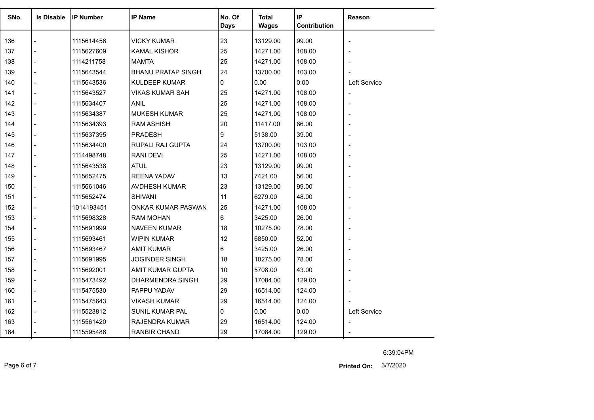| SNo. | <b>Is Disable</b> | <b>IP Number</b> | <b>IP Name</b>            | No. Of      | <b>Total</b> | IP           | <b>Reason</b>  |
|------|-------------------|------------------|---------------------------|-------------|--------------|--------------|----------------|
|      |                   |                  |                           | <b>Days</b> | <b>Wages</b> | Contribution |                |
| 136  |                   | 1115614456       | <b>VICKY KUMAR</b>        | 23          | 13129.00     | 99.00        |                |
| 137  |                   | 1115627609       | <b>KAMAL KISHOR</b>       | 25          | 14271.00     | 108.00       |                |
| 138  |                   | 1114211758       | <b>MAMTA</b>              | 25          | 14271.00     | 108.00       |                |
| 139  |                   | 1115643544       | <b>BHANU PRATAP SINGH</b> | 24          | 13700.00     | 103.00       |                |
| 140  |                   | 1115643536       | <b>KULDEEP KUMAR</b>      | 0           | 0.00         | 0.00         | Left Service   |
| 141  |                   | 1115643527       | <b>VIKAS KUMAR SAH</b>    | 25          | 14271.00     | 108.00       |                |
| 142  |                   | 1115634407       | ANIL                      | 25          | 14271.00     | 108.00       | $\overline{a}$ |
| 143  |                   | 1115634387       | <b>MUKESH KUMAR</b>       | 25          | 14271.00     | 108.00       | $\blacksquare$ |
| 144  |                   | 1115634393       | <b>RAM ASHISH</b>         | 20          | 11417.00     | 86.00        |                |
| 145  | $\overline{a}$    | 1115637395       | <b>PRADESH</b>            | 9           | 5138.00      | 39.00        |                |
| 146  |                   | 1115634400       | RUPALI RAJ GUPTA          | 24          | 13700.00     | 103.00       |                |
| 147  |                   | 1114498748       | <b>RANI DEVI</b>          | 25          | 14271.00     | 108.00       |                |
| 148  | $\overline{a}$    | 1115643538       | <b>ATUL</b>               | 23          | 13129.00     | 99.00        |                |
| 149  |                   | 1115652475       | <b>REENA YADAV</b>        | 13          | 7421.00      | 56.00        |                |
| 150  |                   | 1115661046       | AVDHESH KUMAR             | 23          | 13129.00     | 99.00        |                |
| 151  |                   | 1115652474       | <b>SHIVANI</b>            | 11          | 6279.00      | 48.00        |                |
| 152  |                   | 1014193451       | ONKAR KUMAR PASWAN        | 25          | 14271.00     | 108.00       |                |
| 153  |                   | 1115698328       | RAM MOHAN                 | 6           | 3425.00      | 26.00        |                |
| 154  |                   | 1115691999       | <b>NAVEEN KUMAR</b>       | 18          | 10275.00     | 78.00        |                |
| 155  |                   | 1115693461       | <b>WIPIN KUMAR</b>        | 12          | 6850.00      | 52.00        |                |
| 156  |                   | 1115693467       | AMIT KUMAR                | 6           | 3425.00      | 26.00        |                |
| 157  |                   | 1115691995       | <b>JOGINDER SINGH</b>     | 18          | 10275.00     | 78.00        |                |
| 158  |                   | 1115692001       | AMIT KUMAR GUPTA          | 10          | 5708.00      | 43.00        | ÷,             |
| 159  |                   | 1115473492       | DHARMENDRA SINGH          | 29          | 17084.00     | 129.00       |                |
| 160  |                   | 1115475530       | PAPPU YADAV               | 29          | 16514.00     | 124.00       |                |
| 161  | $\blacksquare$    | 1115475643       | <b>VIKASH KUMAR</b>       | 29          | 16514.00     | 124.00       |                |
| 162  |                   | 1115523812       | SUNIL KUMAR PAL           | 0           | 0.00         | 0.00         | Left Service   |
| 163  |                   | 1115561420       | RAJENDRA KUMAR            | 29          | 16514.00     | 124.00       |                |
| 164  |                   | 1115595486       | <b>RANBIR CHAND</b>       | 29          | 17084.00     | 129.00       |                |